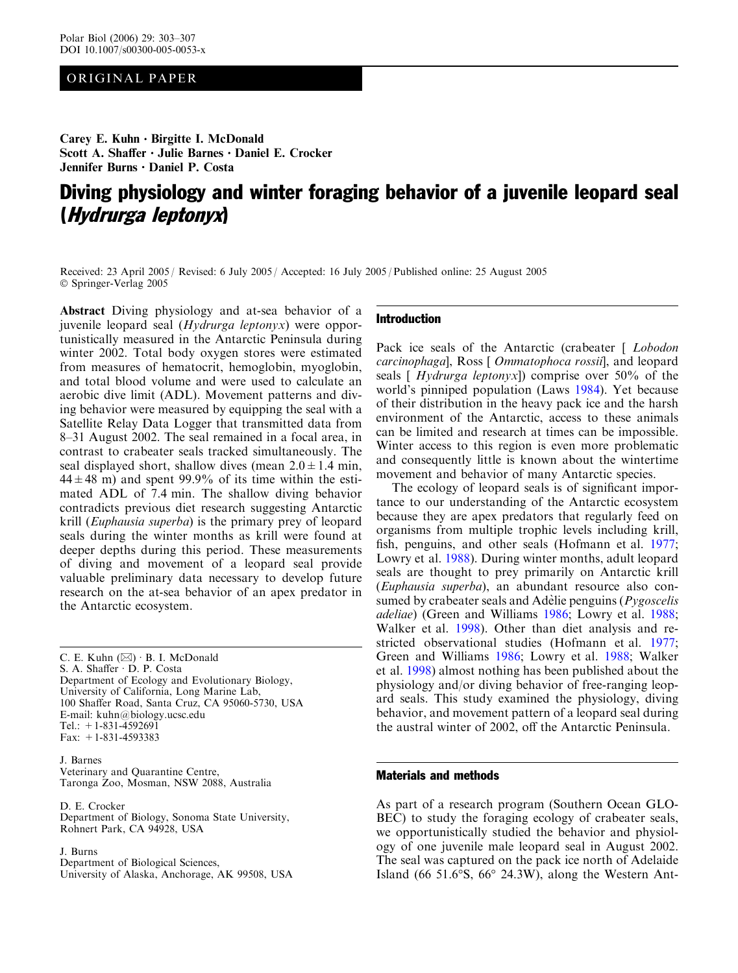## ORIGINAL PAPER

Carey E. Kuhn  $\cdot$  Birgitte I. McDonald Scott A. Shaffer  $\cdot$  Julie Barnes  $\cdot$  Daniel E. Crocker Jennifer Burns · Daniel P. Costa

# Diving physiology and winter foraging behavior of a juvenile leopard seal (Hydrurga leptonyx)

Received: 23 April 2005 / Revised: 6 July 2005 / Accepted: 16 July 2005 / Published online: 25 August 2005 Springer-Verlag 2005

Abstract Diving physiology and at-sea behavior of a juvenile leopard seal (Hydrurga leptonyx) were opportunistically measured in the Antarctic Peninsula during winter 2002. Total body oxygen stores were estimated from measures of hematocrit, hemoglobin, myoglobin, and total blood volume and were used to calculate an aerobic dive limit (ADL). Movement patterns and diving behavior were measured by equipping the seal with a Satellite Relay Data Logger that transmitted data from 8–31 August 2002. The seal remained in a focal area, in contrast to crabeater seals tracked simultaneously. The seal displayed short, shallow dives (mean  $2.0 \pm 1.4$  min,  $44 \pm 48$  m) and spent 99.9% of its time within the estimated ADL of 7.4 min. The shallow diving behavior contradicts previous diet research suggesting Antarctic krill (Euphausia superba) is the primary prey of leopard seals during the winter months as krill were found at deeper depths during this period. These measurements of diving and movement of a leopard seal provide valuable preliminary data necessary to develop future research on the at-sea behavior of an apex predator in the Antarctic ecosystem.

C. E. Kuhn  $(\boxtimes)$  B. I. McDonald S. A. Shaffer · D. P. Costa Department of Ecology and Evolutionary Biology, University of California, Long Marine Lab, 100 Shaffer Road, Santa Cruz, CA 95060-5730, USA E-mail: kuhn@biology.ucsc.edu Tel.: +1-831-4592691 Fax: +1-831-4593383

J. Barnes Veterinary and Quarantine Centre, Taronga Zoo, Mosman, NSW 2088, Australia

D. E. Crocker Department of Biology, Sonoma State University, Rohnert Park, CA 94928, USA

J. Burns

Department of Biological Sciences, University of Alaska, Anchorage, AK 99508, USA

### Introduction

Pack ice seals of the Antarctic (crabeater [ Lobodon carcinophaga], Ross [ Ommatophoca rossii], and leopard seals [  $Hydrurga$  leptonyx]) comprise over 50% of the world's pinniped population (Laws [1984\)](#page-4-0). Yet because of their distribution in the heavy pack ice and the harsh environment of the Antarctic, access to these animals can be limited and research at times can be impossible. Winter access to this region is even more problematic and consequently little is known about the wintertime movement and behavior of many Antarctic species.

The ecology of leopard seals is of significant importance to our understanding of the Antarctic ecosystem because they are apex predators that regularly feed on organisms from multiple trophic levels including krill, fish, penguins, and other seals (Hofmann et al. [1977](#page-4-0); Lowry et al. [1988](#page-4-0)). During winter months, adult leopard seals are thought to prey primarily on Antarctic krill (Euphausia superba), an abundant resource also consumed by crabeater seals and Adèlie penguins  $(Pygoscelis)$ adeliae) (Green and Williams [1986](#page-4-0); Lowry et al. [1988](#page-4-0); Walker et al. [1998](#page-4-0)). Other than diet analysis and restricted observational studies (Hofmann et al. [1977](#page-4-0); Green and Williams [1986;](#page-4-0) Lowry et al. [1988;](#page-4-0) Walker et al. [1998\)](#page-4-0) almost nothing has been published about the physiology and/or diving behavior of free-ranging leopard seals. This study examined the physiology, diving behavior, and movement pattern of a leopard seal during the austral winter of 2002, off the Antarctic Peninsula.

## Materials and methods

As part of a research program (Southern Ocean GLO-BEC) to study the foraging ecology of crabeater seals, we opportunistically studied the behavior and physiology of one juvenile male leopard seal in August 2002. The seal was captured on the pack ice north of Adelaide Island (66  $51.6^\circ$ S, 66 $^\circ$  24.3W), along the Western Ant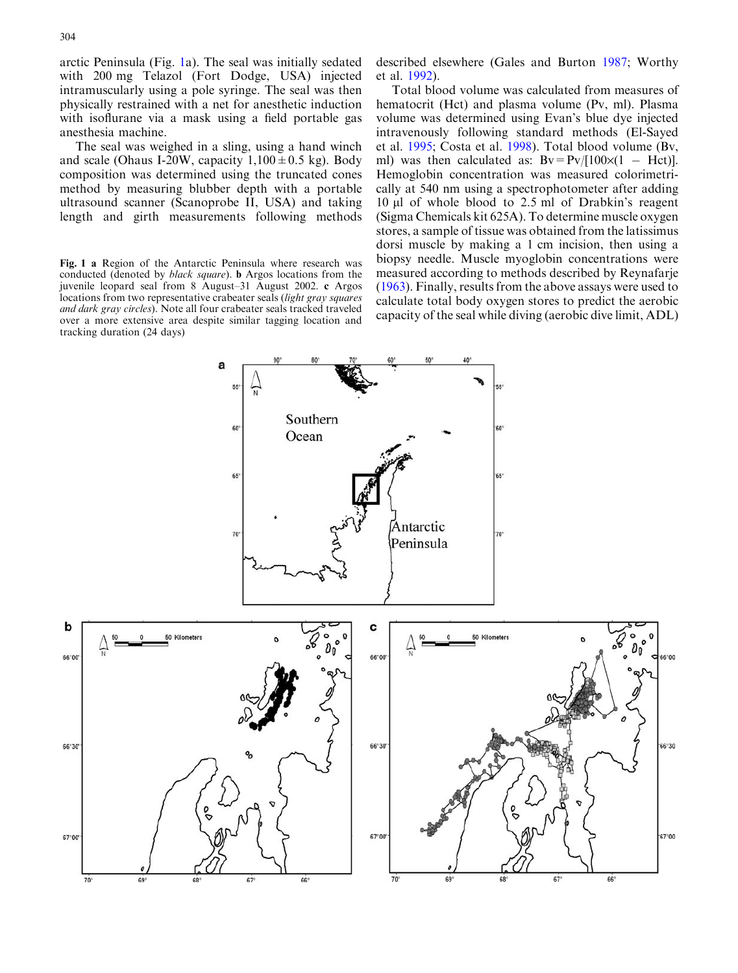<span id="page-1-0"></span>arctic Peninsula (Fig. 1a). The seal was initially sedated with 200 mg Telazol (Fort Dodge, USA) injected intramuscularly using a pole syringe. The seal was then physically restrained with a net for anesthetic induction with isoflurane via a mask using a field portable gas anesthesia machine.

The seal was weighed in a sling, using a hand winch and scale (Ohaus I-20W, capacity  $1,100 \pm 0.5$  kg). Body composition was determined using the truncated cones method by measuring blubber depth with a portable ultrasound scanner (Scanoprobe II, USA) and taking length and girth measurements following methods

Fig. 1 a Region of the Antarctic Peninsula where research was conducted (denoted by black square). b Argos locations from the juvenile leopard seal from 8 August–31 August 2002. c Argos locations from two representative crabeater seals (light gray squares and dark gray circles). Note all four crabeater seals tracked traveled over a more extensive area despite similar tagging location and tracking duration (24 days)

described elsewhere (Gales and Burton [1987;](#page-4-0) Worthy et al. [1992\)](#page-4-0).

Total blood volume was calculated from measures of hematocrit (Hct) and plasma volume (Pv, ml). Plasma volume was determined using Evan's blue dye injected intravenously following standard methods (El-Sayed et al. [1995;](#page-4-0) Costa et al. [1998\)](#page-4-0). Total blood volume (Bv, ml) was then calculated as:  $Bv = Pv/[100 \times (1 - Hct)].$ Hemoglobin concentration was measured colorimetrically at 540 nm using a spectrophotometer after adding 10 *l*l of whole blood to 2.5 ml of Drabkin's reagent (Sigma Chemicals kit 625A). To determine muscle oxygen stores, a sample of tissue was obtained from the latissimus dorsi muscle by making a 1 cm incision, then using a biopsy needle. Muscle myoglobin concentrations were measured according to methods described by Reynafarje ([1963](#page-4-0)). Finally, results from the above assays were used to calculate total body oxygen stores to predict the aerobic capacity of the seal while diving (aerobic dive limit, ADL)

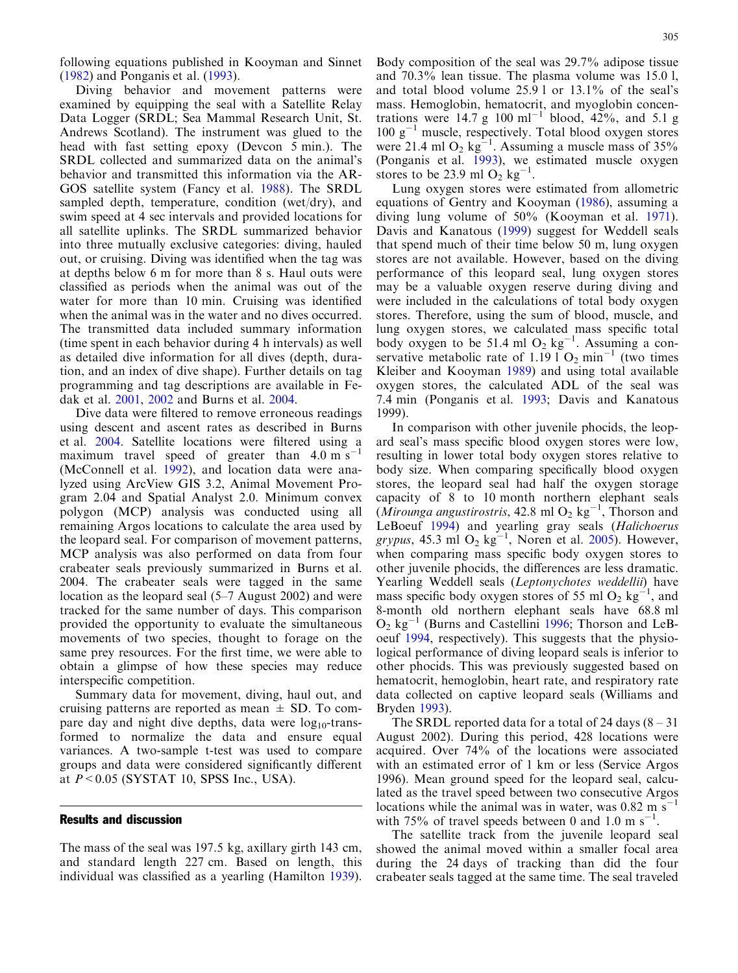following equations published in Kooyman and Sinnet ([1982\)](#page-4-0) and Ponganis et al. [\(1993\)](#page-4-0).

Diving behavior and movement patterns were examined by equipping the seal with a Satellite Relay Data Logger (SRDL; Sea Mammal Research Unit, St. Andrews Scotland). The instrument was glued to the head with fast setting epoxy (Devcon 5 min.). The SRDL collected and summarized data on the animal's behavior and transmitted this information via the AR-GOS satellite system (Fancy et al. [1988](#page-4-0)). The SRDL sampled depth, temperature, condition (wet/dry), and swim speed at 4 sec intervals and provided locations for all satellite uplinks. The SRDL summarized behavior into three mutually exclusive categories: diving, hauled out, or cruising. Diving was identified when the tag was at depths below 6 m for more than 8 s. Haul outs were classified as periods when the animal was out of the water for more than 10 min. Cruising was identified when the animal was in the water and no dives occurred. The transmitted data included summary information (time spent in each behavior during 4 h intervals) as well as detailed dive information for all dives (depth, duration, and an index of dive shape). Further details on tag programming and tag descriptions are available in Fedak et al. [2001](#page-4-0), [2002](#page-4-0) and Burns et al. [2004](#page-4-0).

Dive data were filtered to remove erroneous readings using descent and ascent rates as described in Burns et al. [2004.](#page-4-0) Satellite locations were filtered using a maximum travel speed of greater than  $4.0 \text{ m s}^{-1}$ (McConnell et al. [1992\)](#page-4-0), and location data were analyzed using ArcView GIS 3.2, Animal Movement Program 2.04 and Spatial Analyst 2.0. Minimum convex polygon (MCP) analysis was conducted using all remaining Argos locations to calculate the area used by the leopard seal. For comparison of movement patterns, MCP analysis was also performed on data from four crabeater seals previously summarized in Burns et al. [2004](#page-4-0). The crabeater seals were tagged in the same location as the leopard seal (5–7 August 2002) and were tracked for the same number of days. This comparison provided the opportunity to evaluate the simultaneous movements of two species, thought to forage on the same prey resources. For the first time, we were able to obtain a glimpse of how these species may reduce interspecific competition.

Summary data for movement, diving, haul out, and cruising patterns are reported as mean  $\pm$  SD. To compare day and night dive depths, data were  $log_{10}$ -transformed to normalize the data and ensure equal variances. A two-sample t-test was used to compare groups and data were considered significantly different at  $P < 0.05$  (SYSTAT 10, SPSS Inc., USA).

#### Results and discussion

The mass of the seal was 197.5 kg, axillary girth 143 cm, and standard length 227 cm. Based on length, this individual was classified as a yearling (Hamilton [1939\)](#page-4-0).

Body composition of the seal was 29.7% adipose tissue and 70.3% lean tissue. The plasma volume was 15.0 l, and total blood volume 25.9 l or 13.1% of the seal's mass. Hemoglobin, hematocrit, and myoglobin concentrations were 14.7 g 100  $\text{ml}^{-1}$  blood, 42%, and 5.1 g  $100 \text{ g}^{-1}$  muscle, respectively. Total blood oxygen stores were 21.4 ml  $O_2$  kg<sup>-1</sup>. Assuming a muscle mass of 35% (Ponganis et al. [1993](#page-4-0)), we estimated muscle oxygen stores to be 23.9 ml  $O_2$  kg<sup>-1</sup>.

Lung oxygen stores were estimated from allometric equations of Gentry and Kooyman ([1986\)](#page-4-0), assuming a diving lung volume of 50% (Kooyman et al. [1971\)](#page-4-0). Davis and Kanatous ([1999](#page-4-0)) suggest for Weddell seals that spend much of their time below 50 m, lung oxygen stores are not available. However, based on the diving performance of this leopard seal, lung oxygen stores may be a valuable oxygen reserve during diving and were included in the calculations of total body oxygen stores. Therefore, using the sum of blood, muscle, and lung oxygen stores, we calculated mass specific total body oxygen to be 51.4 ml  $O_2$  kg<sup>-1</sup>. Assuming a conservative metabolic rate of  $1.191O<sub>2</sub> min<sup>-1</sup>$  (two times Kleiber and Kooyman [1989\)](#page-4-0) and using total available oxygen stores, the calculated ADL of the seal was 7.4 min (Ponganis et al. [1993;](#page-4-0) Davis and Kanatous [1999\)](#page-4-0).

In comparison with other juvenile phocids, the leopard seal's mass specific blood oxygen stores were low, resulting in lower total body oxygen stores relative to body size. When comparing specifically blood oxygen stores, the leopard seal had half the oxygen storage capacity of 8 to 10 month northern elephant seals (Mirounga angustirostris, 42.8 ml  $O_2$  kg<sup>-1</sup>, Thorson and LeBoeuf [1994](#page-4-0)) and yearling gray seals (Halichoerus grypus, 45.3 ml  $O_2$  kg<sup>-1</sup>, Noren et al. [2005](#page-4-0)). However, when comparing mass specific body oxygen stores to other juvenile phocids, the differences are less dramatic. Yearling Weddell seals (Leptonychotes weddellii) have mass specific body oxygen stores of 55 ml O<sub>2</sub>  $\text{kg}^{-1}$ , and 8-month old northern elephant seals have 68.8 ml  $O_2$  kg<sup>-1</sup> (Burns and Castellini [1996](#page-4-0); Thorson and LeBoeuf [1994,](#page-4-0) respectively). This suggests that the physiological performance of diving leopard seals is inferior to other phocids. This was previously suggested based on hematocrit, hemoglobin, heart rate, and respiratory rate data collected on captive leopard seals (Williams and Bryden [1993](#page-4-0)).

The SRDL reported data for a total of 24 days  $(8-31)$ August 2002). During this period, 428 locations were acquired. Over 74% of the locations were associated with an estimated error of 1 km or less (Service Argos [1996\)](#page-4-0). Mean ground speed for the leopard seal, calculated as the travel speed between two consecutive Argos locations while the animal was in water, was  $0.82 \text{ m s}^{-1}$ with 75% of travel speeds between 0 and 1.0 m  $s^{-1}$ .

The satellite track from the juvenile leopard seal showed the animal moved within a smaller focal area during the 24 days of tracking than did the four crabeater seals tagged at the same time. The seal traveled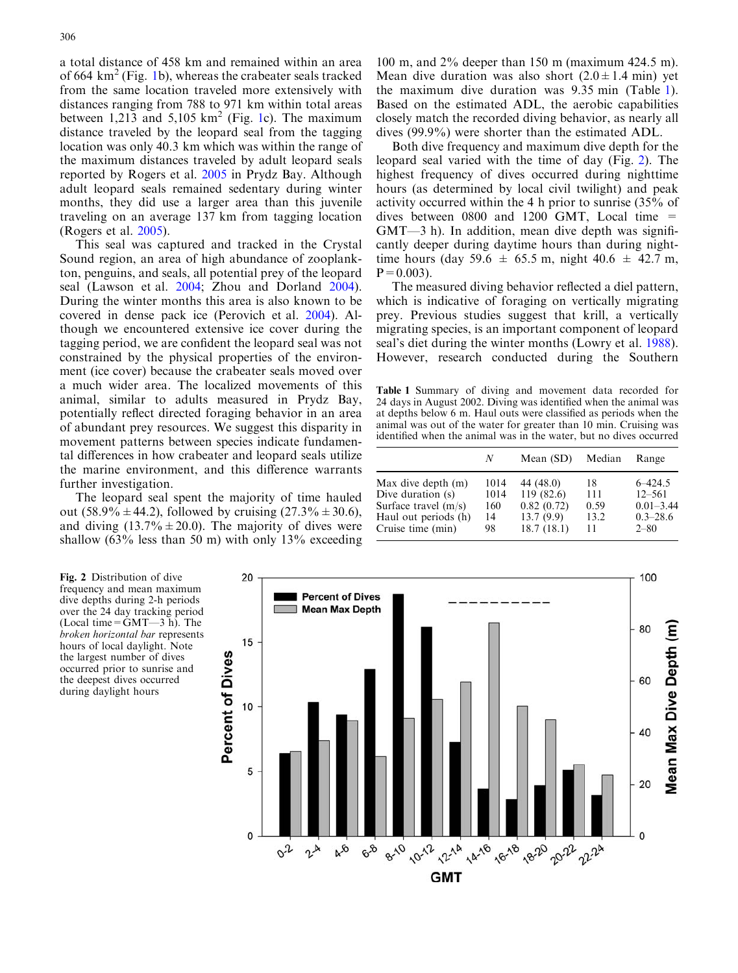a total distance of 458 km and remained within an area of 664  $km^2$  (Fig. [1b\), whereas the crabeater seals tracked](#page-1-0) [from the same location traveled more extensively with](#page-1-0) [distances ranging from 788 to 971 km within total areas](#page-1-0) [between](#page-1-0) [1,213](#page-1-0) [and](#page-1-0) [5,105](#page-1-0)  $km^2$  $km^2$  (Fig. [1c\). The maximum](#page-1-0) [distance traveled by the leopard seal from the tagging](#page-1-0) [location was only 40.3 km which was within the range of](#page-1-0) [the maximum distances traveled by adult leopard seals](#page-1-0) [reported by Rogers et al.](#page-4-0) 2005 in Prydz Bay. Although adult leopard seals remained sedentary during winter months, they did use a larger area than this juvenile traveling on an average 137 km from tagging location (Rogers et al. [2005](#page-4-0)).

This seal was captured and tracked in the Crystal Sound region, an area of high abundance of zooplankton, penguins, and seals, all potential prey of the leopard seal (Lawson et al. [2004](#page-4-0); Zhou and Dorland [2004\)](#page-4-0). During the winter months this area is also known to be covered in dense pack ice (Perovich et al. [2004\)](#page-4-0). Although we encountered extensive ice cover during the tagging period, we are confident the leopard seal was not constrained by the physical properties of the environment (ice cover) because the crabeater seals moved over a much wider area. The localized movements of this animal, similar to adults measured in Prydz Bay, potentially reflect directed foraging behavior in an area of abundant prey resources. We suggest this disparity in movement patterns between species indicate fundamental differences in how crabeater and leopard seals utilize the marine environment, and this difference warrants further investigation.

The leopard seal spent the majority of time hauled out (58.9%  $\pm$  44.2), followed by cruising (27.3%  $\pm$  30.6), and diving  $(13.7\% \pm 20.0)$ . The majority of dives were shallow  $(63\%$  less than 50 m) with only 13% exceeding 100 m, and 2% deeper than 150 m (maximum 424.5 m). Mean dive duration was also short  $(2.0 \pm 1.4 \text{ min})$  yet the maximum dive duration was 9.35 min (Table 1). Based on the estimated ADL, the aerobic capabilities closely match the recorded diving behavior, as nearly all dives (99.9%) were shorter than the estimated ADL.

Both dive frequency and maximum dive depth for the leopard seal varied with the time of day (Fig. 2). The highest frequency of dives occurred during nighttime hours (as determined by local civil twilight) and peak activity occurred within the 4 h prior to sunrise (35% of dives between 0800 and 1200 GMT, Local time  $=$ GMT—3 h). In addition, mean dive depth was significantly deeper during daytime hours than during nighttime hours (day 59.6  $\pm$  65.5 m, night 40.6  $\pm$  42.7 m,  $P=0.003$ ).

The measured diving behavior reflected a diel pattern, which is indicative of foraging on vertically migrating prey. Previous studies suggest that krill, a vertically migrating species, is an important component of leopard seal's diet during the winter months (Lowry et al. [1988\)](#page-4-0). However, research conducted during the Southern

Table 1 Summary of diving and movement data recorded for 24 days in August 2002. Diving was identified when the animal was at depths below 6 m. Haul outs were classified as periods when the animal was out of the water for greater than 10 min. Cruising was identified when the animal was in the water, but no dives occurred

|                        | N    | Mean (SD)  | Median | Range         |
|------------------------|------|------------|--------|---------------|
| Max dive depth (m)     | 1014 | 44 (48.0)  | 18     | $6 - 424.5$   |
| Dive duration (s)      | 1014 | 119(82.6)  | 111    | $12 - 561$    |
| Surface travel $(m/s)$ | 160  | 0.82(0.72) | 0.59   | $0.01 - 3.44$ |
| Haul out periods (h)   | 14   | 13.7(9.9)  | 13.2   | $0.3 - 28.6$  |
| Cruise time (min)      | 98.  | 18.7(18.1) | 11     | $2 - 80$      |

Fig. 2 Distribution of dive frequency and mean maximum dive depths during 2-h periods over the 24 day tracking period (Local time= $\overline{GMT-3}$  h). The broken horizontal bar represents hours of local daylight. Note the largest number of dives occurred prior to sunrise and the deepest dives occurred during daylight hours